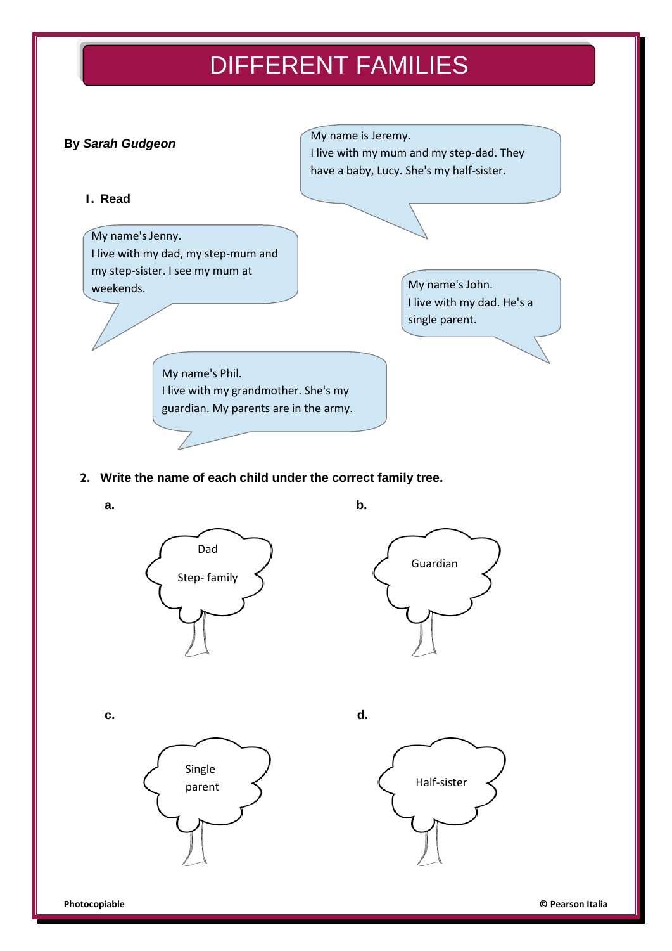# DIFFERENT FAMILIES



## **2. Write the name of each child under the correct family tree.**

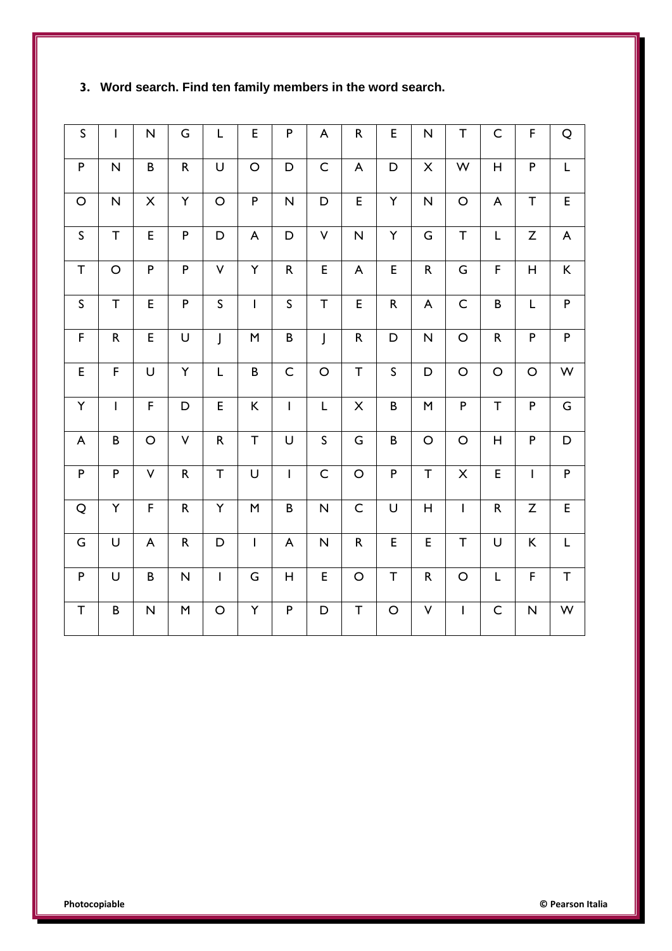| $\mathsf S$               | $\mathbf{I}$            | $\overline{\mathsf{N}}$   | G                                                                                                                                                                                                                                                                                                                                                                                                                                                        | L            | E                         | ${\sf P}$                 | A                       | ${\sf R}$                 | E           | N                                                                                                                                                                                                                                                                                                                                                                                                                                                        | $\top$         | $\mathsf C$               | F                         | $\mathsf Q$ |
|---------------------------|-------------------------|---------------------------|----------------------------------------------------------------------------------------------------------------------------------------------------------------------------------------------------------------------------------------------------------------------------------------------------------------------------------------------------------------------------------------------------------------------------------------------------------|--------------|---------------------------|---------------------------|-------------------------|---------------------------|-------------|----------------------------------------------------------------------------------------------------------------------------------------------------------------------------------------------------------------------------------------------------------------------------------------------------------------------------------------------------------------------------------------------------------------------------------------------------------|----------------|---------------------------|---------------------------|-------------|
| P                         | $\overline{\mathsf{N}}$ | B                         | $\mathsf{R}$                                                                                                                                                                                                                                                                                                                                                                                                                                             | U            | $\circ$                   | D                         | $\mathsf C$             | $\boldsymbol{\mathsf{A}}$ | D           | X                                                                                                                                                                                                                                                                                                                                                                                                                                                        | ${\sf W}$      | $\mathsf H$               | ${\sf P}$                 | L           |
| $\mathsf O$               | $\overline{\mathsf{N}}$ | $\boldsymbol{\mathsf{X}}$ | Υ                                                                                                                                                                                                                                                                                                                                                                                                                                                        | $\bigcirc$   | $\mathsf{P}$              | $\overline{\mathsf{N}}$   | D                       | E                         | Y           | N                                                                                                                                                                                                                                                                                                                                                                                                                                                        | $\mathsf O$    | $\boldsymbol{\mathsf{A}}$ | T                         | E           |
| $\mathsf S$               | $\top$                  | E                         | $\mathsf{P}$                                                                                                                                                                                                                                                                                                                                                                                                                                             | D            | $\boldsymbol{\mathsf{A}}$ | D                         | $\vee$                  | N                         | Y           | G                                                                                                                                                                                                                                                                                                                                                                                                                                                        | T              | L                         | Z                         | A           |
| $\mathsf T$               | $\circ$                 | $\mathsf P$               | $\mathsf P$                                                                                                                                                                                                                                                                                                                                                                                                                                              | $\checkmark$ | Y                         | ${\sf R}$                 | E                       | $\boldsymbol{\mathsf{A}}$ | E           | $\mathsf{R}% _{T}=\mathsf{R}_{T}\!\left( a,b\right) ,\ \mathsf{R}_{T}=\mathsf{R}_{T}\!\left( a,b\right) ,\ \mathsf{R}_{T}=\mathsf{R}_{T}\!\left( a,b\right) ,\ \mathsf{R}_{T}=\mathsf{R}_{T}\!\left( a,b\right) ,\ \mathsf{R}_{T}=\mathsf{R}_{T}\!\left( a,b\right) ,\ \mathsf{R}_{T}=\mathsf{R}_{T}\!\left( a,b\right) ,\ \mathsf{R}_{T}=\mathsf{R}_{T}\!\left( a,b\right) ,\ \mathsf{R}_{T}=\mathsf{R}_{T}\!\left( a,b\right) ,\ \mathsf{R}_{T}=\math$ | G              | F                         | $\mathsf H$               | K           |
| $\sf S$                   | T                       | E                         | $\mathsf P$                                                                                                                                                                                                                                                                                                                                                                                                                                              | $\mathsf{S}$ | $\overline{1}$            | $\mathsf{S}$              | $\top$                  | E                         | ${\sf R}$   | A                                                                                                                                                                                                                                                                                                                                                                                                                                                        | $\mathsf C$    | $\sf B$                   | L                         | P           |
| $\mathsf F$               | ${\sf R}$               | E                         | U                                                                                                                                                                                                                                                                                                                                                                                                                                                        | $\int$       | ${\sf M}$                 | $\sf{B}$                  | J                       | ${\sf R}$                 | D           | N                                                                                                                                                                                                                                                                                                                                                                                                                                                        | $\circ$        | ${\sf R}$                 | P                         | ${\sf P}$   |
| $\mathsf E$               | $\mathsf F$             | U                         | Υ                                                                                                                                                                                                                                                                                                                                                                                                                                                        | L            | B                         | $\mathsf C$               | $\circ$                 | $\top$                    | $\mathsf S$ | D                                                                                                                                                                                                                                                                                                                                                                                                                                                        | $\mathsf O$    | $\bigcirc$                | $\circ$                   | W           |
| Υ                         | $\overline{1}$          | $\mathsf F$               | $\mathsf D$                                                                                                                                                                                                                                                                                                                                                                                                                                              | E            | K                         | $\mathbf{I}$              | L                       | $\times$                  | $\sf B$     | M                                                                                                                                                                                                                                                                                                                                                                                                                                                        | $\mathsf{P}$   | $\top$                    | P                         | G           |
| $\boldsymbol{\mathsf{A}}$ | $\sf B$                 | $\mathsf O$               | $\vee$                                                                                                                                                                                                                                                                                                                                                                                                                                                   | $\mathsf{R}$ | $\top$                    | U                         | $\mathsf S$             | G                         | $\sf B$     | $\circ$                                                                                                                                                                                                                                                                                                                                                                                                                                                  | $\circ$        | $\boldsymbol{\mathsf{H}}$ | P                         | D           |
| $\mathsf P$               | ${\sf P}$               | V                         | $\mathsf R$                                                                                                                                                                                                                                                                                                                                                                                                                                              | T            | U                         | $\mathsf I$               | $\mathsf C$             | $\mathsf O$               | $\mathsf P$ | T                                                                                                                                                                                                                                                                                                                                                                                                                                                        | $\pmb{\times}$ | E                         | $\mathbf{I}$              | ${\sf P}$   |
| $\mathsf Q$               | Υ                       | $\mathsf F$               | $\mathsf R$                                                                                                                                                                                                                                                                                                                                                                                                                                              | Υ            | M                         | $\sf B$                   | $\overline{\mathsf{N}}$ | $\mathsf C$               | U           | Η                                                                                                                                                                                                                                                                                                                                                                                                                                                        | $\mathbf{I}$   | ${\sf R}$                 | Z                         | E           |
| ${\mathsf G}$             | U                       | $\boldsymbol{\mathsf{A}}$ | $\mathsf{R}% _{T}=\mathsf{R}_{T}\!\left( a,b\right) ,\ \mathsf{R}_{T}=\mathsf{R}_{T}\!\left( a,b\right) ,\ \mathsf{R}_{T}=\mathsf{R}_{T}\!\left( a,b\right) ,\ \mathsf{R}_{T}=\mathsf{R}_{T}\!\left( a,b\right) ,\ \mathsf{R}_{T}=\mathsf{R}_{T}\!\left( a,b\right) ,\ \mathsf{R}_{T}=\mathsf{R}_{T}\!\left( a,b\right) ,\ \mathsf{R}_{T}=\mathsf{R}_{T}\!\left( a,b\right) ,\ \mathsf{R}_{T}=\mathsf{R}_{T}\!\left( a,b\right) ,\ \mathsf{R}_{T}=\math$ | D            | $\mathsf{I}$              | $\boldsymbol{\mathsf{A}}$ | $\overline{\mathsf{N}}$ | ${\sf R}$                 | E           | E                                                                                                                                                                                                                                                                                                                                                                                                                                                        | $\top$         | U                         | K                         | L           |
| P                         | U                       | $\sf B$                   | $\mathsf{N}$                                                                                                                                                                                                                                                                                                                                                                                                                                             | $\mathsf I$  | G                         | Н                         | E                       | $\mathsf O$               | $\top$      | ${\sf R}$                                                                                                                                                                                                                                                                                                                                                                                                                                                | $\circ$        | L                         | F                         | T           |
| T                         | $\sf B$                 | N                         | $\sf M$                                                                                                                                                                                                                                                                                                                                                                                                                                                  | $\circ$      | Υ                         | P                         | D                       | Τ                         | $\circ$     | V                                                                                                                                                                                                                                                                                                                                                                                                                                                        | $\mathsf{I}$   | $\mathsf C$               | $\boldsymbol{\mathsf{N}}$ | W           |

# **3. Word search. Find ten family members in the word search.**